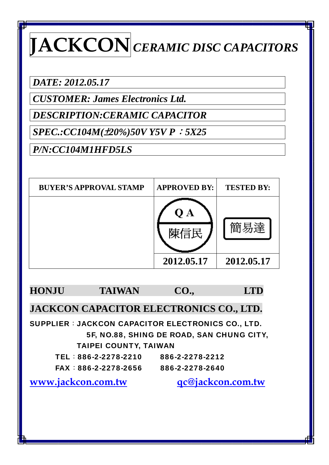## **JACKCON** *CERAMIC DISC CAPACITORS*

*DATE: 2012.05.17* 

*CUSTOMER: James Electronics Ltd.* 

*DESCRIPTION:CERAMIC CAPACITOR* 

*SPEC.:CC104M(*±*20%)50V Y5V P*:*5X25* 

*P/N:CC104M1HFD5LS* 

| <b>BUYER'S APPROVAL STAMP</b> | <b>APPROVED BY:</b> | <b>TESTED BY:</b> |
|-------------------------------|---------------------|-------------------|
|                               | $\mathbf{A}$        |                   |
|                               | 2012.05.17          | 2012.05.17        |

**HONJU TAIWAN CO., LTD** 

**JACKCON CAPACITOR ELECTRONICS CO., LTD.** 

SUPPLIER: JACKCON CAPACITOR ELECTRONICS CO., LTD. 5F, NO.88, SHING DE ROAD, SAN CHUNG CITY, TAIPEI COUNTY, TAIWAN

| TEL:886-2-2278-2210  | 886-2-2278-2212 |
|----------------------|-----------------|
| FAX: 886-2-2278-2656 | 886-2-2278-2640 |

**www.jackcon.com.tw qc@jackcon.com.tw**